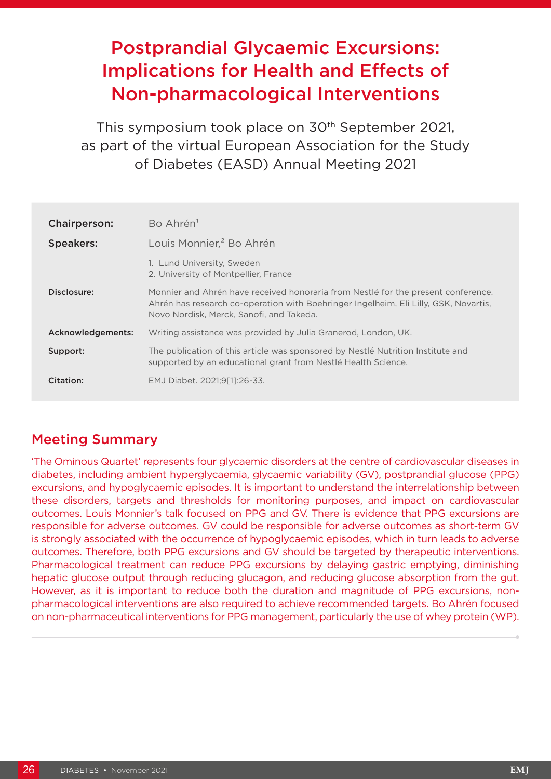# Postprandial Glycaemic Excursions: Implications for Health and Effects of Non-pharmacological Interventions

This symposium took place on 30th September 2021, as part of the virtual European Association for the Study of Diabetes (EASD) Annual Meeting 2021

| Chairperson:      | Bo Ahrén <sup>1</sup>                                                                                                                                                                                                 |
|-------------------|-----------------------------------------------------------------------------------------------------------------------------------------------------------------------------------------------------------------------|
| <b>Speakers:</b>  | Louis Monnier, <sup>2</sup> Bo Ahrén                                                                                                                                                                                  |
|                   | 1. Lund University, Sweden<br>2. University of Montpellier, France                                                                                                                                                    |
| Disclosure:       | Monnier and Ahrén have received honoraria from Nestlé for the present conference.<br>Ahrén has research co-operation with Boehringer Ingelheim, Eli Lilly, GSK, Novartis,<br>Novo Nordisk, Merck, Sanofi, and Takeda. |
| Acknowledgements: | Writing assistance was provided by Julia Granerod, London, UK.                                                                                                                                                        |
| Support:          | The publication of this article was sponsored by Nestlé Nutrition Institute and<br>supported by an educational grant from Nestlé Health Science.                                                                      |
| Citation:         | EMJ Diabet. 2021;9[1]:26-33.                                                                                                                                                                                          |

## Meeting Summary

'The Ominous Quartet' represents four glycaemic disorders at the centre of cardiovascular diseases in diabetes, including ambient hyperglycaemia, glycaemic variability (GV), postprandial glucose (PPG) excursions, and hypoglycaemic episodes. It is important to understand the interrelationship between these disorders, targets and thresholds for monitoring purposes, and impact on cardiovascular outcomes. Louis Monnier's talk focused on PPG and GV. There is evidence that PPG excursions are responsible for adverse outcomes. GV could be responsible for adverse outcomes as short-term GV is strongly associated with the occurrence of hypoglycaemic episodes, which in turn leads to adverse outcomes. Therefore, both PPG excursions and GV should be targeted by therapeutic interventions. Pharmacological treatment can reduce PPG excursions by delaying gastric emptying, diminishing hepatic glucose output through reducing glucagon, and reducing glucose absorption from the gut. However, as it is important to reduce both the duration and magnitude of PPG excursions, nonpharmacological interventions are also required to achieve recommended targets. Bo Ahrén focused on non-pharmaceutical interventions for PPG management, particularly the use of whey protein (WP).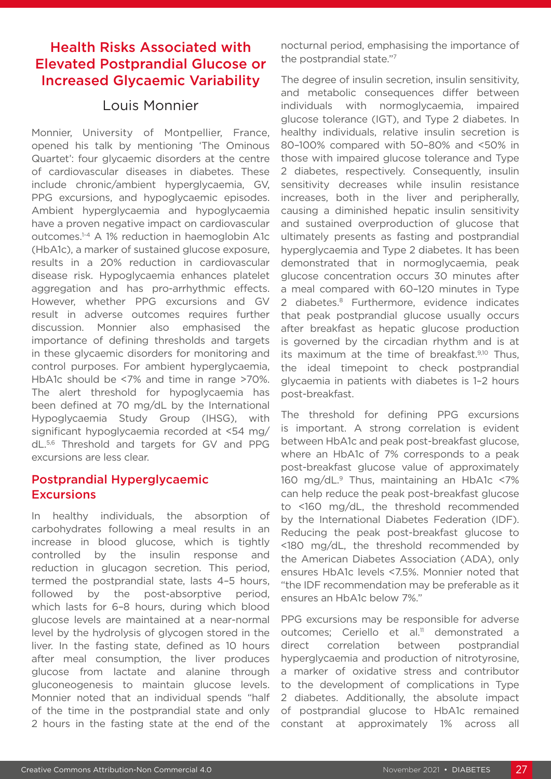## Health Risks Associated with Elevated Postprandial Glucose or Increased Glycaemic Variability

## Louis Monnier

Monnier, University of Montpellier, France, opened his talk by mentioning 'The Ominous Quartet': four glycaemic disorders at the centre of cardiovascular diseases in diabetes. These include chronic/ambient hyperglycaemia, GV, PPG excursions, and hypoglycaemic episodes. Ambient hyperglycaemia and hypoglycaemia have a proven negative impact on cardiovascular outcomes.1-4 A 1% reduction in haemoglobin A1c (HbA1c), a marker of sustained glucose exposure, results in a 20% reduction in cardiovascular disease risk. Hypoglycaemia enhances platelet aggregation and has pro-arrhythmic effects. However, whether PPG excursions and GV result in adverse outcomes requires further discussion. Monnier also emphasised the importance of defining thresholds and targets in these glycaemic disorders for monitoring and control purposes. For ambient hyperglycaemia, HbA1c should be <7% and time in range >70%. The alert threshold for hypoglycaemia has been defined at 70 mg/dL by the International Hypoglycaemia Study Group (IHSG), with significant hypoglycaemia recorded at <54 mg/ dL.5,6 Threshold and targets for GV and PPG excursions are less clear.

#### Postprandial Hyperglycaemic **Excursions**

In healthy individuals, the absorption of carbohydrates following a meal results in an increase in blood glucose, which is tightly controlled by the insulin response and reduction in glucagon secretion. This period, termed the postprandial state, lasts 4–5 hours, followed by the post-absorptive period, which lasts for 6–8 hours, during which blood glucose levels are maintained at a near-normal level by the hydrolysis of glycogen stored in the liver. In the fasting state, defined as 10 hours after meal consumption, the liver produces glucose from lactate and alanine through gluconeogenesis to maintain glucose levels. Monnier noted that an individual spends "half of the time in the postprandial state and only 2 hours in the fasting state at the end of the

nocturnal period, emphasising the importance of the postprandial state."7

The degree of insulin secretion, insulin sensitivity, and metabolic consequences differ between individuals with normoglycaemia, impaired glucose tolerance (IGT), and Type 2 diabetes. In healthy individuals, relative insulin secretion is 80–100% compared with 50–80% and <50% in those with impaired glucose tolerance and Type 2 diabetes, respectively. Consequently, insulin sensitivity decreases while insulin resistance increases, both in the liver and peripherally, causing a diminished hepatic insulin sensitivity and sustained overproduction of glucose that ultimately presents as fasting and postprandial hyperglycaemia and Type 2 diabetes. It has been demonstrated that in normoglycaemia, peak glucose concentration occurs 30 minutes after a meal compared with 60–120 minutes in Type 2 diabetes.<sup>8</sup> Furthermore, evidence indicates that peak postprandial glucose usually occurs after breakfast as hepatic glucose production is governed by the circadian rhythm and is at its maximum at the time of breakfast.<sup>9,10</sup> Thus, the ideal timepoint to check postprandial glycaemia in patients with diabetes is 1–2 hours post-breakfast.

The threshold for defining PPG excursions is important. A strong correlation is evident between HbA1c and peak post-breakfast glucose, where an HbA1c of 7% corresponds to a peak post-breakfast glucose value of approximately 160 mg/dL.9 Thus, maintaining an HbA1c <7% can help reduce the peak post-breakfast glucose to <160 mg/dL, the threshold recommended by the International Diabetes Federation (IDF). Reducing the peak post-breakfast glucose to <180 mg/dL, the threshold recommended by the American Diabetes Association (ADA), only ensures HbA1c levels <7.5%. Monnier noted that "the IDF recommendation may be preferable as it ensures an HbA1c below 7%."

PPG excursions may be responsible for adverse outcomes; Ceriello et al.<sup>11</sup> demonstrated a direct correlation between postprandial hyperglycaemia and production of nitrotyrosine, a marker of oxidative stress and contributor to the development of complications in Type 2 diabetes. Additionally, the absolute impact of postprandial glucose to HbA1c remained constant at approximately 1% across all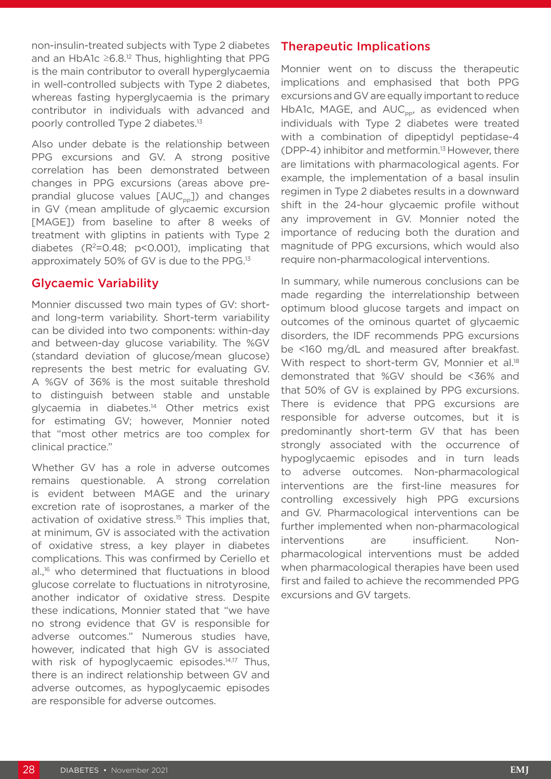non-insulin-treated subjects with Type 2 diabetes and an HbA1c  $\geq$ 6.8.<sup>12</sup> Thus, highlighting that PPG is the main contributor to overall hyperglycaemia in well-controlled subjects with Type 2 diabetes, whereas fasting hyperglycaemia is the primary contributor in individuals with advanced and poorly controlled Type 2 diabetes.13

Also under debate is the relationship between PPG excursions and GV. A strong positive correlation has been demonstrated between changes in PPG excursions (areas above preprandial glucose values  $[AUC_{\text{ep}}]$ ) and changes in GV (mean amplitude of glycaemic excursion [MAGE]) from baseline to after 8 weeks of treatment with gliptins in patients with Type 2 diabetes  $(R^2=0.48; p<0.001)$ , implicating that approximately 50% of GV is due to the PPG.13

#### Glycaemic Variability

Monnier discussed two main types of GV: shortand long-term variability. Short-term variability can be divided into two components: within-day and between-day glucose variability. The %GV (standard deviation of glucose/mean glucose) represents the best metric for evaluating GV. A %GV of 36% is the most suitable threshold to distinguish between stable and unstable glycaemia in diabetes.<sup>14</sup> Other metrics exist for estimating GV; however, Monnier noted that "most other metrics are too complex for clinical practice."

Whether GV has a role in adverse outcomes remains questionable. A strong correlation is evident between MAGE and the urinary excretion rate of isoprostanes, a marker of the activation of oxidative stress.<sup>15</sup> This implies that, at minimum, GV is associated with the activation of oxidative stress, a key player in diabetes complications. This was confirmed by Ceriello et al.,16 who determined that fluctuations in blood glucose correlate to fluctuations in nitrotyrosine, another indicator of oxidative stress. Despite these indications, Monnier stated that "we have no strong evidence that GV is responsible for adverse outcomes." Numerous studies have, however, indicated that high GV is associated with risk of hypoglycaemic episodes.<sup>14,17</sup> Thus, there is an indirect relationship between GV and adverse outcomes, as hypoglycaemic episodes are responsible for adverse outcomes.

#### Therapeutic Implications

Monnier went on to discuss the therapeutic implications and emphasised that both PPG excursions and GV are equally important to reduce HbA1c, MAGE, and  $AUC_{\text{pp}}$ , as evidenced when individuals with Type 2 diabetes were treated with a combination of dipeptidyl peptidase-4 (DPP-4) inhibitor and metformin.13 However, there are limitations with pharmacological agents. For example, the implementation of a basal insulin regimen in Type 2 diabetes results in a downward shift in the 24-hour glycaemic profile without any improvement in GV. Monnier noted the importance of reducing both the duration and magnitude of PPG excursions, which would also require non-pharmacological interventions.

In summary, while numerous conclusions can be made regarding the interrelationship between optimum blood glucose targets and impact on outcomes of the ominous quartet of glycaemic disorders, the IDF recommends PPG excursions be <160 mg/dL and measured after breakfast. With respect to short-term GV, Monnier et al.<sup>18</sup> demonstrated that %GV should be <36% and that 50% of GV is explained by PPG excursions. There is evidence that PPG excursions are responsible for adverse outcomes, but it is predominantly short-term GV that has been strongly associated with the occurrence of hypoglycaemic episodes and in turn leads to adverse outcomes. Non-pharmacological interventions are the first-line measures for controlling excessively high PPG excursions and GV. Pharmacological interventions can be further implemented when non-pharmacological interventions are insufficient. Nonpharmacological interventions must be added when pharmacological therapies have been used first and failed to achieve the recommended PPG excursions and GV targets.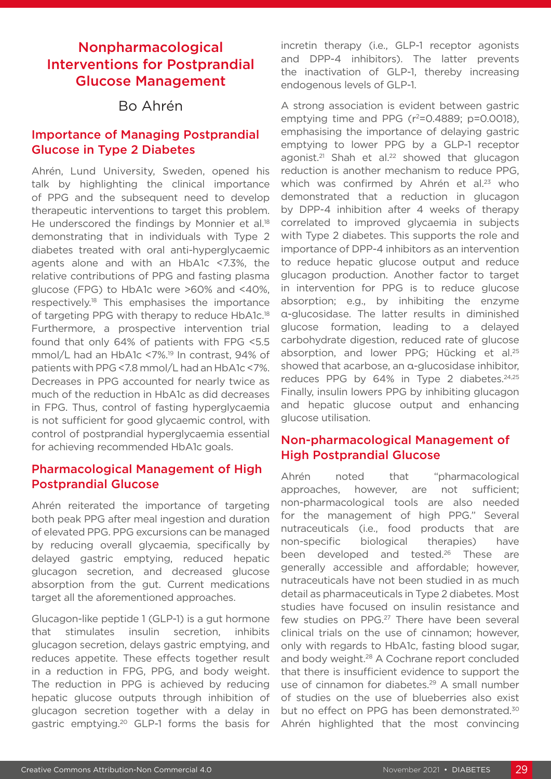## Nonpharmacological Interventions for Postprandial Glucose Management

### Bo Ahrén

#### Importance of Managing Postprandial Glucose in Type 2 Diabetes

Ahrén, Lund University, Sweden, opened his talk by highlighting the clinical importance of PPG and the subsequent need to develop therapeutic interventions to target this problem. He underscored the findings by Monnier et al.<sup>18</sup> demonstrating that in individuals with Type 2 diabetes treated with oral anti-hyperglycaemic agents alone and with an HbA1c <7.3%, the relative contributions of PPG and fasting plasma glucose (FPG) to HbA1c were >60% and <40%, respectively.18 This emphasises the importance of targeting PPG with therapy to reduce HbA1c.<sup>18</sup> Furthermore, a prospective intervention trial found that only 64% of patients with FPG <5.5 mmol/L had an HbA1c <7%.19 In contrast, 94% of patients with PPG <7.8 mmol/L had an HbA1c <7%. Decreases in PPG accounted for nearly twice as much of the reduction in HbA1c as did decreases in FPG. Thus, control of fasting hyperglycaemia is not sufficient for good glycaemic control, with control of postprandial hyperglycaemia essential for achieving recommended HbA1c goals.

#### Pharmacological Management of High Postprandial Glucose

Ahrén reiterated the importance of targeting both peak PPG after meal ingestion and duration of elevated PPG. PPG excursions can be managed by reducing overall glycaemia, specifically by delayed gastric emptying, reduced hepatic glucagon secretion, and decreased glucose absorption from the gut. Current medications target all the aforementioned approaches.

Glucagon-like peptide 1 (GLP-1) is a gut hormone that stimulates insulin secretion, inhibits glucagon secretion, delays gastric emptying, and reduces appetite. These effects together result in a reduction in FPG, PPG, and body weight. The reduction in PPG is achieved by reducing hepatic glucose outputs through inhibition of glucagon secretion together with a delay in gastric emptying.20 GLP-1 forms the basis for

incretin therapy (i.e., GLP-1 receptor agonists and DPP-4 inhibitors). The latter prevents the inactivation of GLP-1, thereby increasing endogenous levels of GLP-1.

A strong association is evident between gastric emptying time and PPG  $(r^2=0.4889; p=0.0018)$ . emphasising the importance of delaying gastric emptying to lower PPG by a GLP-1 receptor agonist.<sup>21</sup> Shah et al.<sup>22</sup> showed that glucagon reduction is another mechanism to reduce PPG, which was confirmed by Ahrén et al.<sup>23</sup> who demonstrated that a reduction in glucagon by DPP-4 inhibition after 4 weeks of therapy correlated to improved glycaemia in subjects with Type 2 diabetes. This supports the role and importance of DPP-4 inhibitors as an intervention to reduce hepatic glucose output and reduce glucagon production. Another factor to target in intervention for PPG is to reduce glucose absorption; e.g., by inhibiting the enzyme α-glucosidase. The latter results in diminished glucose formation, leading to a delayed carbohydrate digestion, reduced rate of glucose absorption, and lower PPG; Hücking et al.<sup>25</sup> showed that acarbose, an α-glucosidase inhibitor, reduces PPG by 64% in Type 2 diabetes.<sup>24,25</sup> Finally, insulin lowers PPG by inhibiting glucagon and hepatic glucose output and enhancing glucose utilisation.

#### Non-pharmacological Management of High Postprandial Glucose

Ahrén noted that "pharmacological approaches, however, are not sufficient; non-pharmacological tools are also needed for the management of high PPG." Several nutraceuticals (i.e., food products that are non-specific biological therapies) have been developed and tested.<sup>26</sup> These are generally accessible and affordable; however, nutraceuticals have not been studied in as much detail as pharmaceuticals in Type 2 diabetes. Most studies have focused on insulin resistance and few studies on PPG.<sup>27</sup> There have been several clinical trials on the use of cinnamon; however, only with regards to HbA1c, fasting blood sugar, and body weight.<sup>28</sup> A Cochrane report concluded that there is insufficient evidence to support the use of cinnamon for diabetes.<sup>29</sup> A small number of studies on the use of blueberries also exist but no effect on PPG has been demonstrated.<sup>30</sup> Ahrén highlighted that the most convincing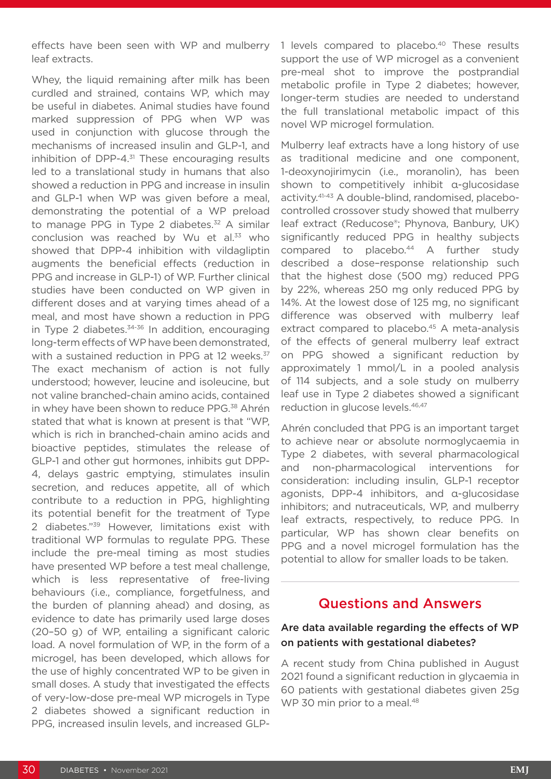effects have been seen with WP and mulberry leaf extracts.

Whey, the liquid remaining after milk has been curdled and strained, contains WP, which may be useful in diabetes. Animal studies have found marked suppression of PPG when WP was used in conjunction with glucose through the mechanisms of increased insulin and GLP-1, and inhibition of DPP-4 $3<sup>31</sup>$  These encouraging results led to a translational study in humans that also showed a reduction in PPG and increase in insulin and GLP-1 when WP was given before a meal, demonstrating the potential of a WP preload to manage PPG in Type 2 diabetes.<sup>32</sup> A similar conclusion was reached by Wu et al.<sup>33</sup> who showed that DPP-4 inhibition with vildagliptin augments the beneficial effects (reduction in PPG and increase in GLP-1) of WP. Further clinical studies have been conducted on WP given in different doses and at varying times ahead of a meal, and most have shown a reduction in PPG in Type 2 diabetes.<sup>34-36</sup> In addition, encouraging long-term effects of WP have been demonstrated, with a sustained reduction in PPG at 12 weeks.<sup>37</sup> The exact mechanism of action is not fully understood; however, leucine and isoleucine, but not valine branched-chain amino acids, contained in whey have been shown to reduce PPG.<sup>38</sup> Ahrén stated that what is known at present is that "WP, which is rich in branched-chain amino acids and bioactive peptides, stimulates the release of GLP-1 and other gut hormones, inhibits gut DPP-4, delays gastric emptying, stimulates insulin secretion, and reduces appetite, all of which contribute to a reduction in PPG, highlighting its potential benefit for the treatment of Type 2 diabetes."<sup>39</sup> However, limitations exist with traditional WP formulas to regulate PPG. These include the pre-meal timing as most studies have presented WP before a test meal challenge, which is less representative of free-living behaviours (i.e., compliance, forgetfulness, and the burden of planning ahead) and dosing, as evidence to date has primarily used large doses (20–50 g) of WP, entailing a significant caloric load. A novel formulation of WP, in the form of a microgel, has been developed, which allows for the use of highly concentrated WP to be given in small doses. A study that investigated the effects of very-low-dose pre-meal WP microgels in Type 2 diabetes showed a significant reduction in PPG, increased insulin levels, and increased GLP-

1 levels compared to placebo.<sup>40</sup> These results support the use of WP microgel as a convenient pre-meal shot to improve the postprandial metabolic profile in Type 2 diabetes; however, longer-term studies are needed to understand the full translational metabolic impact of this novel WP microgel formulation.

Mulberry leaf extracts have a long history of use as traditional medicine and one component, 1-deoxynojirimycin (i.e., moranolin), has been shown to competitively inhibit α-glucosidase activity.41-43 A double-blind, randomised, placebocontrolled crossover study showed that mulberry leaf extract (Reducose®; Phynova, Banbury, UK) significantly reduced PPG in healthy subjects compared to placebo.<sup>44</sup> A further study described a dose–response relationship such that the highest dose (500 mg) reduced PPG by 22%, whereas 250 mg only reduced PPG by 14%. At the lowest dose of 125 mg, no significant difference was observed with mulberry leaf extract compared to placebo.<sup>45</sup> A meta-analysis of the effects of general mulberry leaf extract on PPG showed a significant reduction by approximately 1 mmol/L in a pooled analysis of 114 subjects, and a sole study on mulberry leaf use in Type 2 diabetes showed a significant reduction in glucose levels.46,47

Ahrén concluded that PPG is an important target to achieve near or absolute normoglycaemia in Type 2 diabetes, with several pharmacological and non-pharmacological interventions for consideration: including insulin, GLP-1 receptor agonists, DPP-4 inhibitors, and α-glucosidase inhibitors; and nutraceuticals, WP, and mulberry leaf extracts, respectively, to reduce PPG. In particular, WP has shown clear benefits on PPG and a novel microgel formulation has the potential to allow for smaller loads to be taken.

#### Questions and Answers

#### Are data available regarding the effects of WP on patients with gestational diabetes?

A recent study from China published in August 2021 found a significant reduction in glycaemia in 60 patients with gestational diabetes given 25g WP 30 min prior to a meal.<sup>48</sup>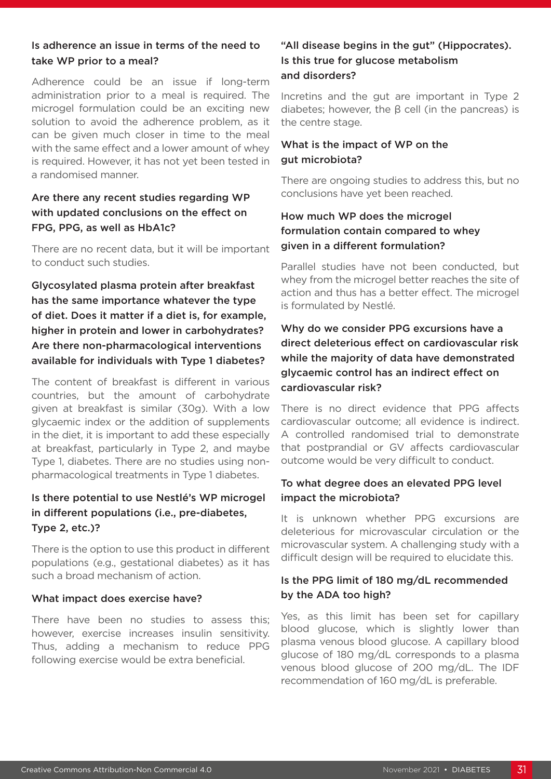#### Is adherence an issue in terms of the need to take WP prior to a meal?

Adherence could be an issue if long-term administration prior to a meal is required. The microgel formulation could be an exciting new solution to avoid the adherence problem, as it can be given much closer in time to the meal with the same effect and a lower amount of whey is required. However, it has not yet been tested in a randomised manner.

#### Are there any recent studies regarding WP with updated conclusions on the effect on FPG, PPG, as well as HbA1c?

There are no recent data, but it will be important to conduct such studies.

Glycosylated plasma protein after breakfast has the same importance whatever the type of diet. Does it matter if a diet is, for example, higher in protein and lower in carbohydrates? Are there non-pharmacological interventions available for individuals with Type 1 diabetes?

The content of breakfast is different in various countries, but the amount of carbohydrate given at breakfast is similar (30g). With a low glycaemic index or the addition of supplements in the diet, it is important to add these especially at breakfast, particularly in Type 2, and maybe Type 1, diabetes. There are no studies using nonpharmacological treatments in Type 1 diabetes.

#### Is there potential to use Nestlé's WP microgel in different populations (i.e., pre-diabetes, Type 2, etc.)?

There is the option to use this product in different populations (e.g., gestational diabetes) as it has such a broad mechanism of action.

#### What impact does exercise have?

There have been no studies to assess this; however, exercise increases insulin sensitivity. Thus, adding a mechanism to reduce PPG following exercise would be extra beneficial.

#### "All disease begins in the gut" (Hippocrates). Is this true for glucose metabolism and disorders?

Incretins and the gut are important in Type 2 diabetes; however, the β cell (in the pancreas) is the centre stage.

#### What is the impact of WP on the gut microbiota?

There are ongoing studies to address this, but no conclusions have yet been reached.

#### How much WP does the microgel formulation contain compared to whey given in a different formulation?

Parallel studies have not been conducted, but whey from the microgel better reaches the site of action and thus has a better effect. The microgel is formulated by Nestlé.

#### Why do we consider PPG excursions have a direct deleterious effect on cardiovascular risk while the majority of data have demonstrated glycaemic control has an indirect effect on cardiovascular risk?

There is no direct evidence that PPG affects cardiovascular outcome; all evidence is indirect. A controlled randomised trial to demonstrate that postprandial or GV affects cardiovascular outcome would be very difficult to conduct.

#### To what degree does an elevated PPG level impact the microbiota?

It is unknown whether PPG excursions are deleterious for microvascular circulation or the microvascular system. A challenging study with a difficult design will be required to elucidate this.

#### Is the PPG limit of 180 mg/dL recommended by the ADA too high?

Yes, as this limit has been set for capillary blood glucose, which is slightly lower than plasma venous blood glucose. A capillary blood glucose of 180 mg/dL corresponds to a plasma venous blood glucose of 200 mg/dL. The IDF recommendation of 160 mg/dL is preferable.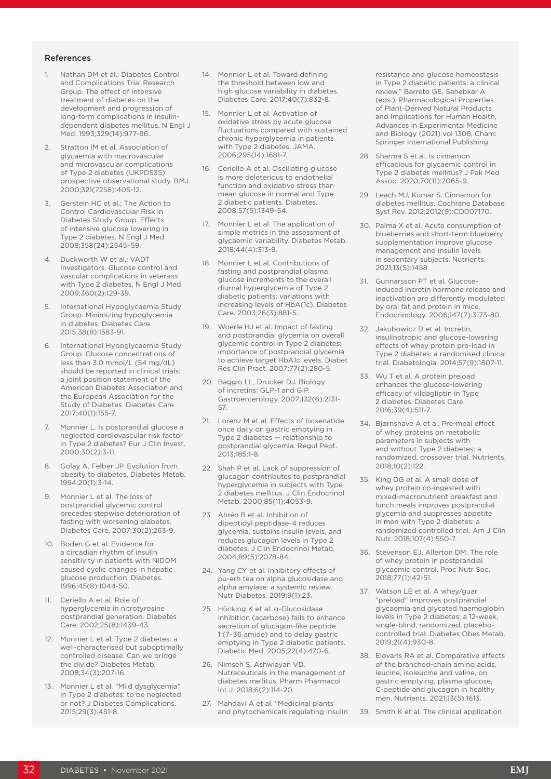#### References

- 1. Nathan DM et al.; Diabetes Control and Complications Trial Research Group. The effect of intensive treatment of diabetes on the development and progression of long-term complications in insulindependent diabetes mellitus. N Engl J Med. 1993;329(14):977-86.
- 2. Stratton IM et al. Association of glycaemia with macrovascular and microvascular complications of Type 2 diabetes (UKPDS35): prospective observational study. BMJ. 2000;321(7258):405-12.
- 3. Gerstein HC et al.; The Action to Control Cardiovascular Risk in Diabetes Study Group. Effects of intensive glucose lowering in Type 2 diabetes. N Engl J Med. 2008;358(24):2545–59.
- 4. Duckworth W et al.; VADT Investigators. Glucose control and vascular complications in veterans with Type 2 diabetes. N Engl J Med. 2009;360(2):129-39.
- 5. International Hypoglycaemia Study Group. Minimizing hypoglycemia in diabetes. Diabetes Care. 2015;38(8):1583-91.
- 6. International Hypoglycaemia Study Group. Glucose concentrations of less than 3.0 mmol/L (54 mg/dL) should be reported in clinical trials: a joint position statement of the American Diabetes Association and the European Association for the Study of Diabetes. Diabetes Care. 2017;40(1):155-7.
- 7. Monnier L. Is postprandial glucose a neglected cardiovascular risk factor in Type 2 diabetes? Eur J Clin Invest. 2000;30(2):3-11.
- 8. Golay A, Felber JP. Evolution from obesity to diabetes. Diabetes Metab. 1994;20(1):3-14.
- 9. Monnier L et al. The loss of postprandial glycemic control precedes stepwise deterioration of fasting with worsening diabetes. Diabetes Care. 2007;30(2):263-9.
- 10. Boden G et al. Evidence for a circadian rhythm of insulin sensitivity in patients with NIDDM caused cyclic changes in hepatic glucose production. Diabetes. 1996;45(8):1044-50.
- 11. Ceriello A et al. Role of hyperglycemia in nitrotyrosine postprandial generation. Diabetes Care. 2002;25(8):1439-43.
- 12. Monnier L et al. Type 2 diabetes: a well-characterised but suboptimally controlled disease. Can we bridge the divide? Diabetes Metab. 2008;34(3):207-16.
- 13. Monnier L et al. "Mild dysglycemia" in Type 2 diabetes: to be neglected or not? J Diabetes Complications. 2015;29(3):451-8.
- 14. Monnier L et al. Toward defining the threshold between low and high glucose variability in diabetes. Diabetes Care. 2017;40(7):832-8.
- 15. Monnier L et al. Activation of oxidative stress by acute glucose fluctuations compared with sustained chronic hyperglycemia in patients with Type 2 diabetes. JAMA. 2006;295(14):1681-7.
- 16. Ceriello A et al. Oscillating glucose is more deleterious to endothelial function and oxidative stress than mean glucose in normal and Type 2 diabetic patients. Diabetes. 2008;57(5):1349-54.
- 17. Monnier L et al. The application of simple metrics in the assessment of glycaemic variability. Diabetes Metab. 2018;44(4):313-9.
- 18. Monnier L et al. Contributions of fasting and postprandial plasma glucose increments to the overall diurnal hyperglycemia of Type 2 diabetic patients: variations with increasing levels of HbA(1c). Diabetes Care. 2003;26(3):881-5.
- Woerle HJ et al. Impact of fasting and postprandial glycemia on overall glycemic control in Type 2 diabetes: importance of postprandial glycemia to achieve target HbA1c levels. Diabet Res Clin Pract. 2007;77(2):280-5.
- 20. Baggio LL, Drucker DJ. Biology of incretins: GLP-1 and GIP. Gastroenterology. 2007;132(6):2131- 57.
- 21. Lorenz M et al. Effects of lixisenatide once daily on gastric emptying in Type 2 diabetes — relationship to postprandial glycemia. Regul Pept. 2013;185:1-8.
- 22. Shah P et al. Lack of suppression of glucagon contributes to postprandial hyperglycemia in subjects with Type 2 diabetes mellitus. J Clin Endocrinol Metab. 2000;85(11):4053-9.
- 23. Ahrén B et al. Inhibition of dipeptidyl peptidase-4 reduces glycemia, sustains insulin levels, and reduces glucagon levels in Type 2 diabetes. J Clin Endocrinol Metab. 2004;89(5):2078-84.
- 24. Yang CY et al. Inhibitory effects of pu-erh tea on alpha glucosidase and alpha amylase: a systemic review. Nutr Diabetes. 2019;9(1):23.
- 25. Hücking K et al. α-Glucosidase inhibition (acarbose) fails to enhance secretion of glucagon-like peptide 1 (7–36 amide) and to delay gastric emptying in Type 2 diabetic patients. Diabetic Med. 2005;22(4):470-6.
- 26. Nimseh S, Ashwlayan VD. Nutraceuticals in the management of diabetes mellitus. Pharm Pharmacol Int J. 2018;6(2):114-20.
- 27. Mahdavi A et al. "Medicinal plants and phytochemicals regulating insulin

resistance and glucose homeostasis in Type 2 diabetic patients: a clinical review," Barreto GE, Sahebkar A (eds.), Pharmacological Properties of Plant-Derived Natural Products and Implications for Human Health, Advances in Experimental Medicine and Biology (2021) vol 1308, Cham: Springer International Publishing.

- 28. Sharma S et al. Is cinnamon efficacious for glycaemic control in Type 2 diabetes mellitus? J Pak Med Assoc. 2020;70(11):2065-9.
- 29. Leach MJ, Kumar S. Cinnamon for diabetes mellitus. Cochrane Database Syst Rev. 2012;2012(9):CD007170.
- 30. Palma X et al. Acute consumption of blueberries and short-term blueberry supplementation improve glucose management and insulin levels in sedentary subjects. Nutrients. 2021;13(5):1458.
- 31. Gunnarsson PT et al. Glucoseinduced incretin hormone release and inactivation are differently modulated by oral fat and protein in mice. Endocrinology. 2006;147(7):3173-80.
- 32. Jakubowicz D et al. Incretin, insulinotropic and glucose-lowering effects of whey protein pre-load in Type 2 diabetes: a randomised clinical trial. Diabetologia. 2014;57(9):1807-11.
- 33. Wu T et al. A protein preload enhances the glucose-lowering efficacy of vildagliptin in Type 2 diabetes. Diabetes Care. 2016;39(4):511-7.
- 34. Bjørnshave A et al. Pre-meal effect of whey proteins on metabolic parameters in subjects with and without Type 2 diabetes: a randomized, crossover trial. Nutrients. 2018;10(2):122.
- 35. King DG et al. A small dose of whey protein co-ingested with mixed-macronutrient breakfast and lunch meals improves postprandial glycemia and suppresses appetite in men with Type 2 diabetes: a randomized controlled trial. Am J Clin Nutr. 2018;107(4):550-7.
- 36. Stevenson EJ, Allerton DM. The role of whey protein in postprandial glycaemic control. Proc Nutr Soc. 2018;77(1):42-51.
- 37. Watson LE et al. A whey/guar "preload" improves postprandial glycaemia and glycated haemoglobin levels in Type 2 diabetes: a 12-week, single-blind, randomized, placebocontrolled trial. Diabetes Obes Metab. 2019;21(4):930-8.
- 38. Elovaris RA et al. Comparative effects of the branched-chain amino acids, leucine, isoleucine and valine, on gastric emptying, plasma glucose, C-peptide and glucagon in healthy men. Nutrients. 2021;13(5):1613.
- 39. Smith K et al. The clinical application